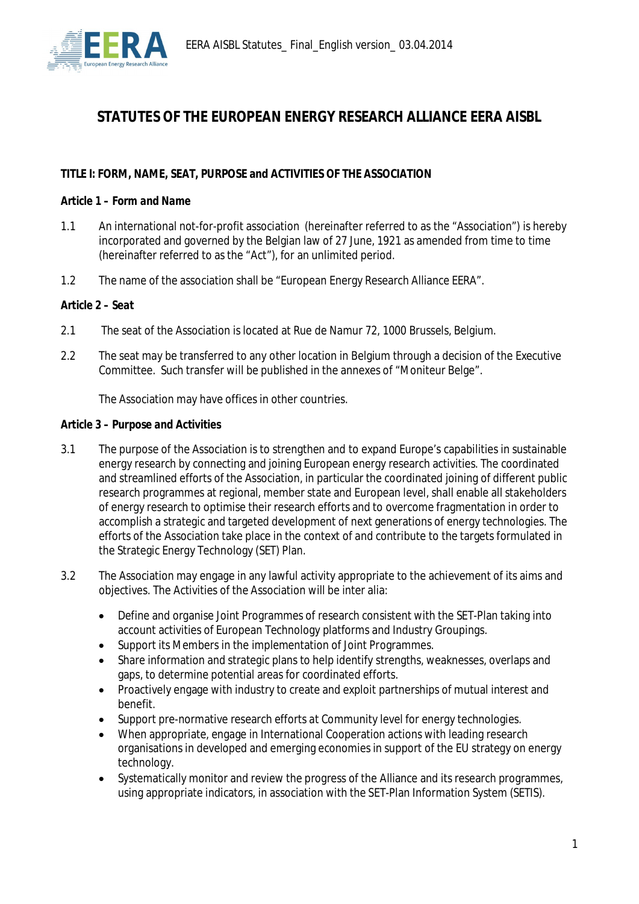

# **STATUTES OF THE EUROPEAN ENERGY RESEARCH ALLIANCE EERA AISBL**

## **TITLE I: FORM, NAME, SEAT, PURPOSE and ACTIVITIES OF THE ASSOCIATION**

#### *Article 1 – Form and Name*

- 1.1 An international not-for-profit association (hereinafter referred to as the "Association") is hereby incorporated and governed by the Belgian law of 27 June, 1921 as amended from time to time (hereinafter referred to as the "Act"), for an unlimited period.
- 1.2 The name of the association shall be "European Energy Research Alliance EERA".

#### *Article 2 – Seat*

- 2.1 The seat of the Association is located at Rue de Namur 72, 1000 Brussels, Belgium.
- 2.2 The seat may be transferred to any other location in Belgium through a decision of the Executive Committee. Such transfer will be published in the annexes of "Moniteur Belge".

The Association may have offices in other countries.

#### *Article 3 – Purpose and Activities*

- 3.1 The purpose of the Association is to strengthen and to expand Europe's capabilities in sustainable energy research by connecting and joining European energy research activities. The coordinated and streamlined efforts of the Association, in particular the coordinated joining of different public research programmes at regional, member state and European level, shall enable all stakeholders of energy research to optimise their research efforts and to overcome fragmentation in order to accomplish a strategic and targeted development of next generations of energy technologies. The efforts of the Association take place in the context of and contribute to the targets formulated in the Strategic Energy Technology (SET) Plan.
- 3.2 The Association may engage in any lawful activity appropriate to the achievement of its aims and objectives. The Activities of the Association will be inter alia:
	- Define and organise Joint Programmes of research consistent with the SET-Plan taking into account activities of European Technology platforms and Industry Groupings.
	- Support its Members in the implementation of Joint Programmes.
	- Share information and strategic plans to help identify strengths, weaknesses, overlaps and gaps, to determine potential areas for coordinated efforts.
	- Proactively engage with industry to create and exploit partnerships of mutual interest and benefit.
	- Support pre-normative research efforts at Community level for energy technologies.
	- x When appropriate, engage in International Cooperation actions with leading research organisations in developed and emerging economies in support of the EU strategy on energy technology.
	- Systematically monitor and review the progress of the Alliance and its research programmes, using appropriate indicators, in association with the SET-Plan Information System (SETIS).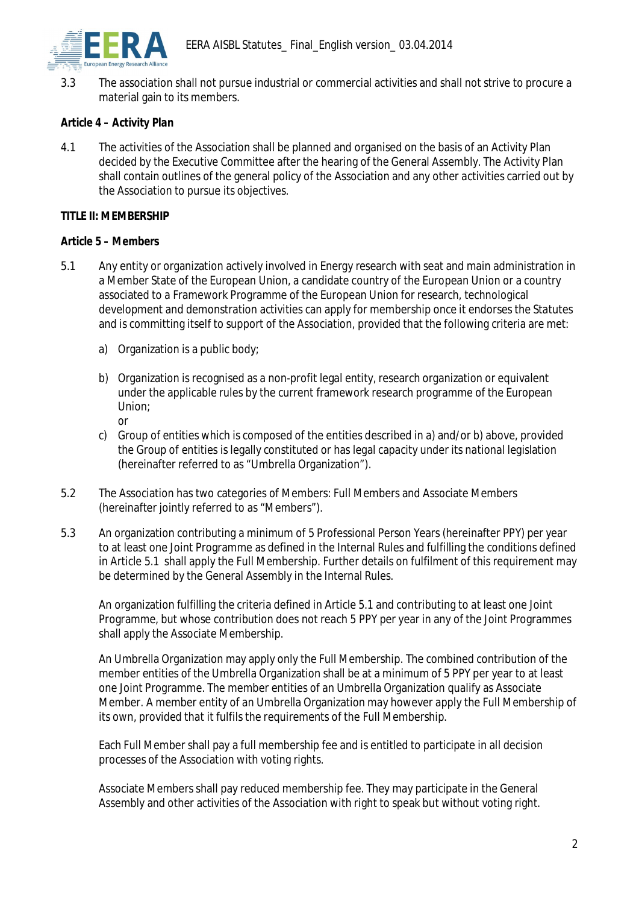

3.3 The association shall not pursue industrial or commercial activities and shall not strive to procure a material gain to its members.

# *Article 4 – Activity Plan*

4.1 The activities of the Association shall be planned and organised on the basis of an Activity Plan decided by the Executive Committee after the hearing of the General Assembly. The Activity Plan shall contain outlines of the general policy of the Association and any other activities carried out by the Association to pursue its objectives.

## **TITLE II: MEMBERSHIP**

## *Article 5 – Members*

- 5.1 Any entity or organization actively involved in Energy research with seat and main administration in a Member State of the European Union, a candidate country of the European Union or a country associated to a Framework Programme of the European Union for research, technological development and demonstration activities can apply for membership once it endorses the Statutes and is committing itself to support of the Association, provided that the following criteria are met:
	- a) Organization is a public body;
	- b) Organization is recognised as a non-profit legal entity, research organization or equivalent under the applicable rules by the current framework research programme of the European Union; or
	- c) Group of entities which is composed of the entities described in a) and/or b) above, provided the Group of entities is legally constituted or has legal capacity under its national legislation (hereinafter referred to as "Umbrella Organization").
- 5.2 The Association has two categories of Members: Full Members and Associate Members (hereinafter jointly referred to as "Members").
- 5.3 An organization contributing a minimum of 5 Professional Person Years (hereinafter PPY) per year to at least one Joint Programme as defined in the Internal Rules and fulfilling the conditions defined in Article 5.1 shall apply the Full Membership. Further details on fulfilment of this requirement may be determined by the General Assembly in the Internal Rules.

An organization fulfilling the criteria defined in Article 5.1 and contributing to at least one Joint Programme, but whose contribution does not reach 5 PPY per year in any of the Joint Programmes shall apply the Associate Membership.

An Umbrella Organization may apply only the Full Membership. The combined contribution of the member entities of the Umbrella Organization shall be at a minimum of 5 PPY per year to at least one Joint Programme. The member entities of an Umbrella Organization qualify as Associate Member. A member entity of an Umbrella Organization may however apply the Full Membership of its own, provided that it fulfils the requirements of the Full Membership.

Each Full Member shall pay a full membership fee and is entitled to participate in all decision processes of the Association with voting rights.

Associate Members shall pay reduced membership fee. They may participate in the General Assembly and other activities of the Association with right to speak but without voting right.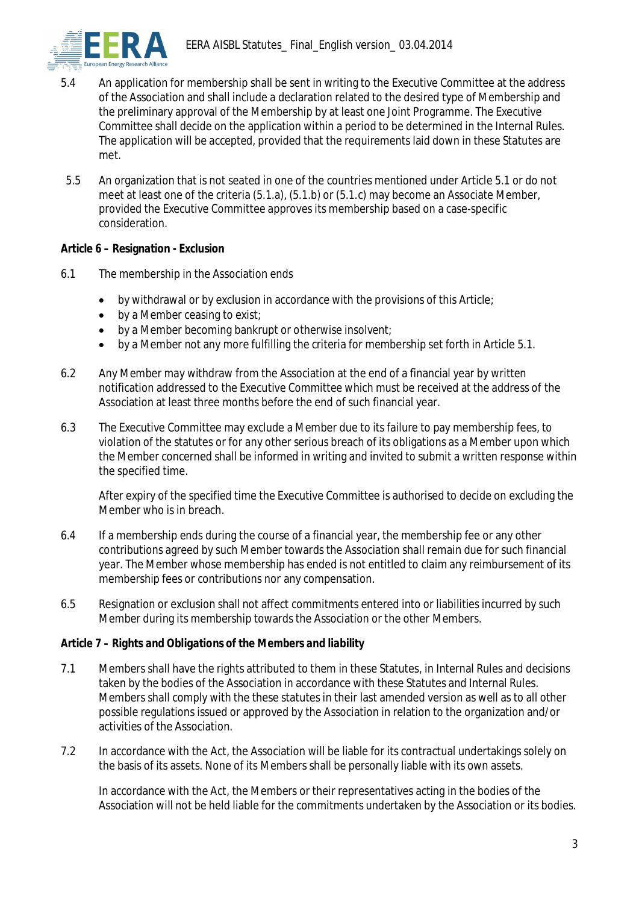

- 5.4 An application for membership shall be sent in writing to the Executive Committee at the address of the Association and shall include a declaration related to the desired type of Membership and the preliminary approval of the Membership by at least one Joint Programme. The Executive Committee shall decide on the application within a period to be determined in the Internal Rules. The application will be accepted, provided that the requirements laid down in these Statutes are met.
- 5.5 An organization that is not seated in one of the countries mentioned under Article 5.1 or do not meet at least one of the criteria (5.1.a), (5.1.b) or (5.1.c) may become an Associate Member, provided the Executive Committee approves its membership based on a case-specific consideration.

**Article 6 – Resignation - Exclusion**

- 6.1 The membership in the Association ends
	- $\bullet$  by withdrawal or by exclusion in accordance with the provisions of this Article;
	- $\bullet$  by a Member ceasing to exist:
	- $\bullet$  by a Member becoming bankrupt or otherwise insolvent;
	- by a Member not any more fulfilling the criteria for membership set forth in Article 5.1.
- 6.2 Any Member may withdraw from the Association at the end of a financial year by written notification addressed to the Executive Committee which must be received at the address of the Association at least three months before the end of such financial year.
- 6.3 The Executive Committee may exclude a Member due to its failure to pay membership fees, to violation of the statutes or for any other serious breach of its obligations as a Member upon which the Member concerned shall be informed in writing and invited to submit a written response within the specified time.

After expiry of the specified time the Executive Committee is authorised to decide on excluding the Member who is in breach.

- 6.4 If a membership ends during the course of a financial year, the membership fee or any other contributions agreed by such Member towards the Association shall remain due for such financial year. The Member whose membership has ended is not entitled to claim any reimbursement of its membership fees or contributions nor any compensation.
- 6.5 Resignation or exclusion shall not affect commitments entered into or liabilities incurred by such Member during its membership towards the Association or the other Members.

#### *Article 7 – Rights and Obligations of the Members and liability*

- 7.1 Members shall have the rights attributed to them in these Statutes, in Internal Rules and decisions taken by the bodies of the Association in accordance with these Statutes and Internal Rules. Members shall comply with the these statutes in their last amended version as well as to all other possible regulations issued or approved by the Association in relation to the organization and/or activities of the Association.
- 7.2 In accordance with the Act, the Association will be liable for its contractual undertakings solely on the basis of its assets. None of its Members shall be personally liable with its own assets.

In accordance with the Act, the Members or their representatives acting in the bodies of the Association will not be held liable for the commitments undertaken by the Association or its bodies.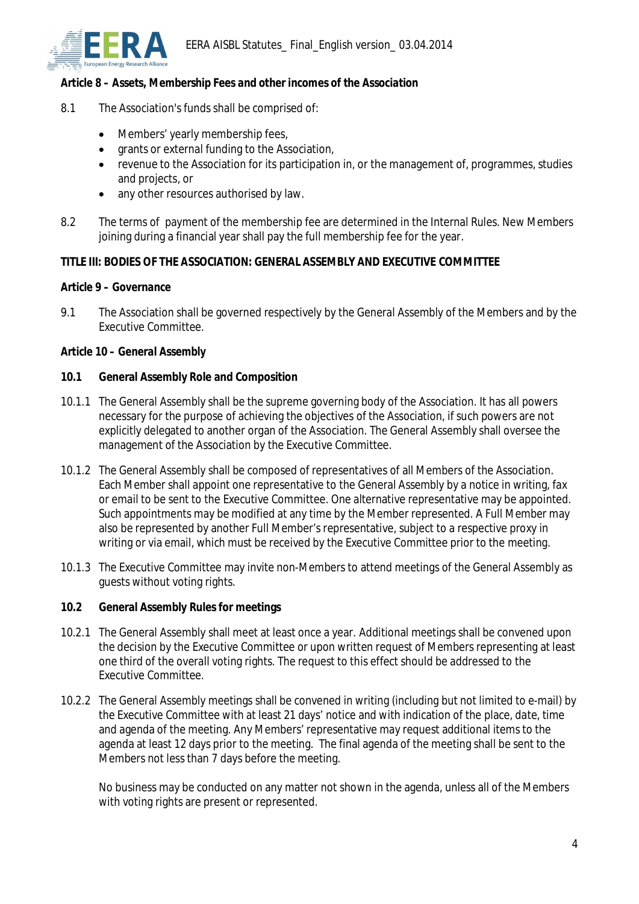

*Article 8 – Assets, Membership Fees and other incomes of the Association*

- 8.1 The Association's funds shall be comprised of:
	- Members' yearly membership fees,
	- $\bullet$  grants or external funding to the Association,
	- revenue to the Association for its participation in, or the management of, programmes, studies and projects, or
	- any other resources authorised by law.
- 8.2 The terms of payment of the membership fee are determined in the Internal Rules. New Members joining during a financial year shall pay the full membership fee for the year.

## **TITLE III: BODIES OF THE ASSOCIATION: GENERAL ASSEMBLY AND EXECUTIVE COMMITTEE**

## *Article 9 – Governance*

9.1 The Association shall be governed respectively by the General Assembly of the Members and by the Executive Committee.

## *Article 10 – General Assembly*

- **10.1 General Assembly Role and Composition**
- 10.1.1 The General Assembly shall be the supreme governing body of the Association. It has all powers necessary for the purpose of achieving the objectives of the Association, if such powers are not explicitly delegated to another organ of the Association. The General Assembly shall oversee the management of the Association by the Executive Committee.
- 10.1.2 The General Assembly shall be composed of representatives of all Members of the Association. Each Member shall appoint one representative to the General Assembly by a notice in writing, fax or email to be sent to the Executive Committee. One alternative representative may be appointed. Such appointments may be modified at any time by the Member represented. A Full Member may also be represented by another Full Member's representative, subject to a respective proxy in writing or via email, which must be received by the Executive Committee prior to the meeting.
- 10.1.3 The Executive Committee may invite non-Members to attend meetings of the General Assembly as guests without voting rights.
- **10.2 General Assembly Rules for meetings**
- 10.2.1 The General Assembly shall meet at least once a year. Additional meetings shall be convened upon the decision by the Executive Committee or upon written request of Members representing at least one third of the overall voting rights. The request to this effect should be addressed to the Executive Committee.
- 10.2.2 The General Assembly meetings shall be convened in writing (including but not limited to e-mail) by the Executive Committee with at least 21 days' notice and with indication of the place, date, time and agenda of the meeting. Any Members' representative may request additional items to the agenda at least 12 days prior to the meeting. The final agenda of the meeting shall be sent to the Members not less than 7 days before the meeting.

No business may be conducted on any matter not shown in the agenda, unless all of the Members with voting rights are present or represented.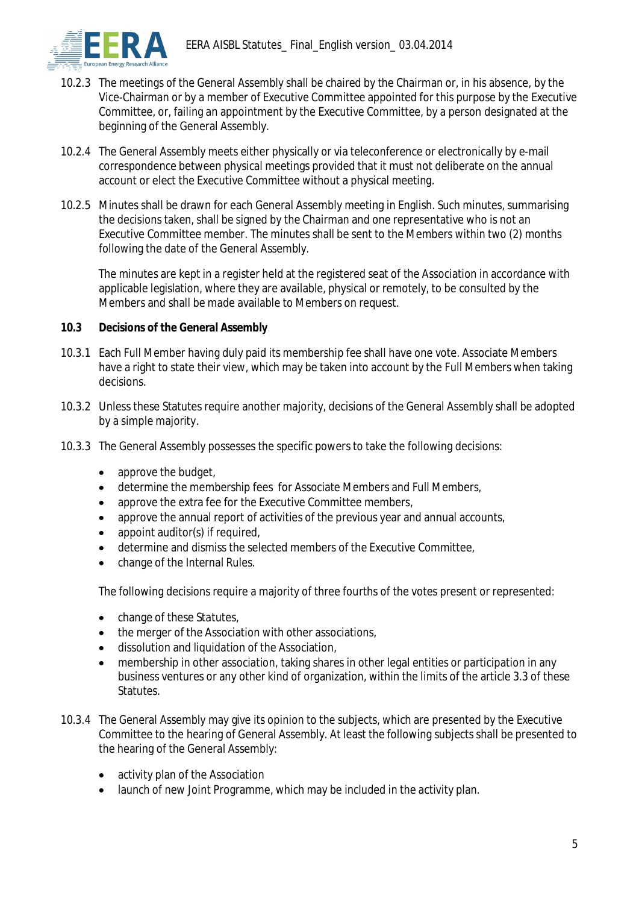- 10.2.3 The meetings of the General Assembly shall be chaired by the Chairman or, in his absence, by the Vice-Chairman or by a member of Executive Committee appointed for this purpose by the Executive Committee, or, failing an appointment by the Executive Committee, by a person designated at the beginning of the General Assembly.
- 10.2.4 The General Assembly meets either physically or via teleconference or electronically by e-mail correspondence between physical meetings provided that it must not deliberate on the annual account or elect the Executive Committee without a physical meeting.
- 10.2.5 Minutes shall be drawn for each General Assembly meeting in English. Such minutes, summarising the decisions taken, shall be signed by the Chairman and one representative who is not an Executive Committee member. The minutes shall be sent to the Members within two (2) months following the date of the General Assembly.

The minutes are kept in a register held at the registered seat of the Association in accordance with applicable legislation, where they are available, physical or remotely, to be consulted by the Members and shall be made available to Members on request.

- **10.3 Decisions of the General Assembly**
- 10.3.1 Each Full Member having duly paid its membership fee shall have one vote. Associate Members have a right to state their view, which may be taken into account by the Full Members when taking decisions.
- 10.3.2 Unless these Statutes require another majority, decisions of the General Assembly shall be adopted by a simple majority.
- 10.3.3 The General Assembly possesses the specific powers to take the following decisions:
	- approve the budget,
	- determine the membership fees for Associate Members and Full Members,
	- approve the extra fee for the Executive Committee members,
	- approve the annual report of activities of the previous year and annual accounts,
	- appoint auditor(s) if required,
	- determine and dismiss the selected members of the Executive Committee,
	- x change of the Internal Rules.

The following decisions require a majority of three fourths of the votes present or represented:

- change of these Statutes,
- $\bullet$  the merger of the Association with other associations,
- dissolution and liquidation of the Association,
- membership in other association, taking shares in other legal entities or participation in any business ventures or any other kind of organization, within the limits of the article 3.3 of these Statutes.
- 10.3.4 The General Assembly may give its opinion to the subjects, which are presented by the Executive Committee to the hearing of General Assembly. At least the following subjects shall be presented to the hearing of the General Assembly:
	- activity plan of the Association
	- launch of new Joint Programme, which may be included in the activity plan.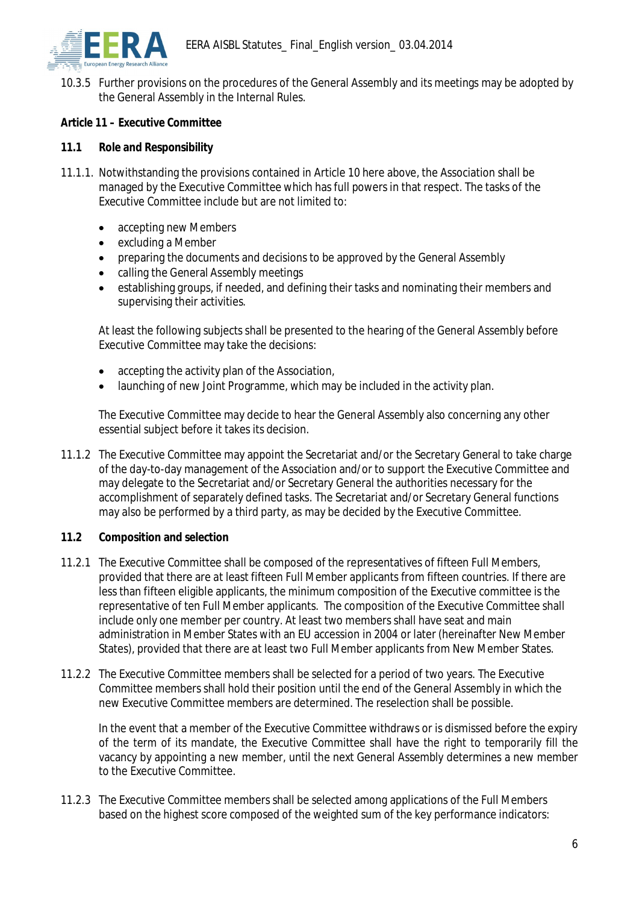

10.3.5 Further provisions on the procedures of the General Assembly and its meetings may be adopted by the General Assembly in the Internal Rules.

*Article 11 – Executive Committee*

- **11.1 Role and Responsibility**
- 11.1.1. Notwithstanding the provisions contained in Article 10 here above, the Association shall be managed by the Executive Committee which has full powers in that respect. The tasks of the Executive Committee include but are not limited to:
	- accepting new Members
	- $\bullet$  excluding a Member
	- preparing the documents and decisions to be approved by the General Assembly
	- calling the General Assembly meetings
	- establishing groups, if needed, and defining their tasks and nominating their members and supervising their activities.

At least the following subjects shall be presented to the hearing of the General Assembly before Executive Committee may take the decisions:

- $\bullet$  accepting the activity plan of the Association,
- launching of new Joint Programme, which may be included in the activity plan.

The Executive Committee may decide to hear the General Assembly also concerning any other essential subject before it takes its decision.

- 11.1.2 The Executive Committee may appoint the Secretariat and/or the Secretary General to take charge of the day-to-day management of the Association and/or to support the Executive Committee and may delegate to the Secretariat and/or Secretary General the authorities necessary for the accomplishment of separately defined tasks. The Secretariat and/or Secretary General functions may also be performed by a third party, as may be decided by the Executive Committee.
- **11.2 Composition and selection**
- 11.2.1 The Executive Committee shall be composed of the representatives of fifteen Full Members, provided that there are at least fifteen Full Member applicants from fifteen countries. If there are less than fifteen eligible applicants, the minimum composition of the Executive committee is the representative of ten Full Member applicants. The composition of the Executive Committee shall include only one member per country. At least two members shall have seat and main administration in Member States with an EU accession in 2004 or later (hereinafter New Member States), provided that there are at least two Full Member applicants from New Member States.
- 11.2.2 The Executive Committee members shall be selected for a period of two years. The Executive Committee members shall hold their position until the end of the General Assembly in which the new Executive Committee members are determined. The reselection shall be possible.

In the event that a member of the Executive Committee withdraws or is dismissed before the expiry of the term of its mandate, the Executive Committee shall have the right to temporarily fill the vacancy by appointing a new member, until the next General Assembly determines a new member to the Executive Committee.

11.2.3 The Executive Committee members shall be selected among applications of the Full Members based on the highest score composed of the weighted sum of the key performance indicators: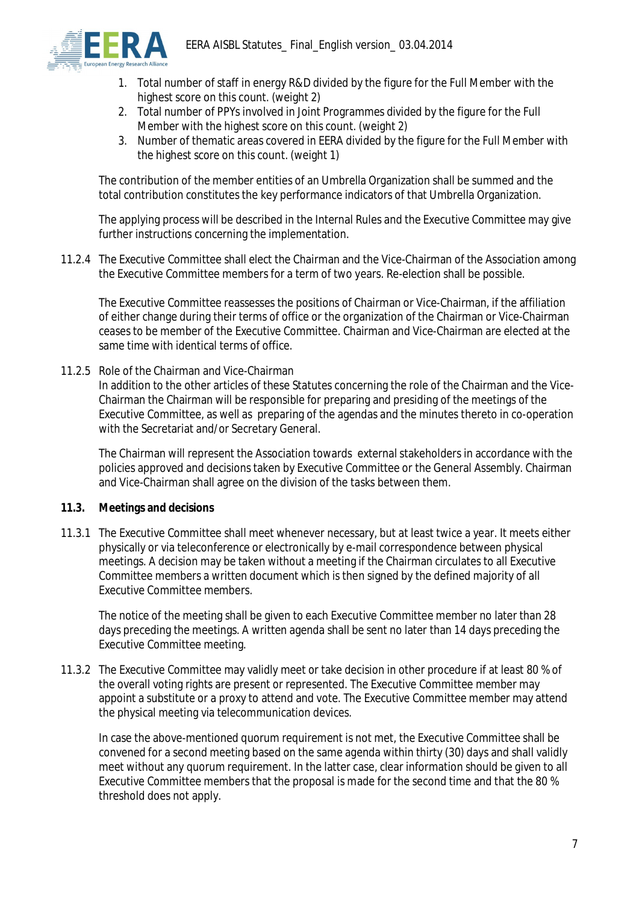

- 1. Total number of staff in energy R&D divided by the figure for the Full Member with the highest score on this count. (weight 2)
- 2. Total number of PPYs involved in Joint Programmes divided by the figure for the Full Member with the highest score on this count. (weight 2)
- 3. Number of thematic areas covered in EERA divided by the figure for the Full Member with the highest score on this count. (weight 1)

The contribution of the member entities of an Umbrella Organization shall be summed and the total contribution constitutes the key performance indicators of that Umbrella Organization.

The applying process will be described in the Internal Rules and the Executive Committee may give further instructions concerning the implementation.

11.2.4 The Executive Committee shall elect the Chairman and the Vice-Chairman of the Association among the Executive Committee members for a term of two years. Re-election shall be possible.

The Executive Committee reassesses the positions of Chairman or Vice-Chairman, if the affiliation of either change during their terms of office or the organization of the Chairman or Vice-Chairman ceases to be member of the Executive Committee. Chairman and Vice-Chairman are elected at the same time with identical terms of office.

11.2.5 Role of the Chairman and Vice-Chairman

In addition to the other articles of these Statutes concerning the role of the Chairman and the Vice-Chairman the Chairman will be responsible for preparing and presiding of the meetings of the Executive Committee, as well as preparing of the agendas and the minutes thereto in co-operation with the Secretariat and/or Secretary General.

The Chairman will represent the Association towards external stakeholders in accordance with the policies approved and decisions taken by Executive Committee or the General Assembly. Chairman and Vice-Chairman shall agree on the division of the tasks between them.

- **11.3. Meetings and decisions**
- 11.3.1 The Executive Committee shall meet whenever necessary, but at least twice a year. It meets either physically or via teleconference or electronically by e-mail correspondence between physical meetings. A decision may be taken without a meeting if the Chairman circulates to all Executive Committee members a written document which is then signed by the defined majority of all Executive Committee members.

The notice of the meeting shall be given to each Executive Committee member no later than 28 days preceding the meetings. A written agenda shall be sent no later than 14 days preceding the Executive Committee meeting.

11.3.2 The Executive Committee may validly meet or take decision in other procedure if at least 80 % of the overall voting rights are present or represented. The Executive Committee member may appoint a substitute or a proxy to attend and vote. The Executive Committee member may attend the physical meeting via telecommunication devices.

In case the above-mentioned quorum requirement is not met, the Executive Committee shall be convened for a second meeting based on the same agenda within thirty (30) days and shall validly meet without any quorum requirement. In the latter case, clear information should be given to all Executive Committee members that the proposal is made for the second time and that the 80 % threshold does not apply.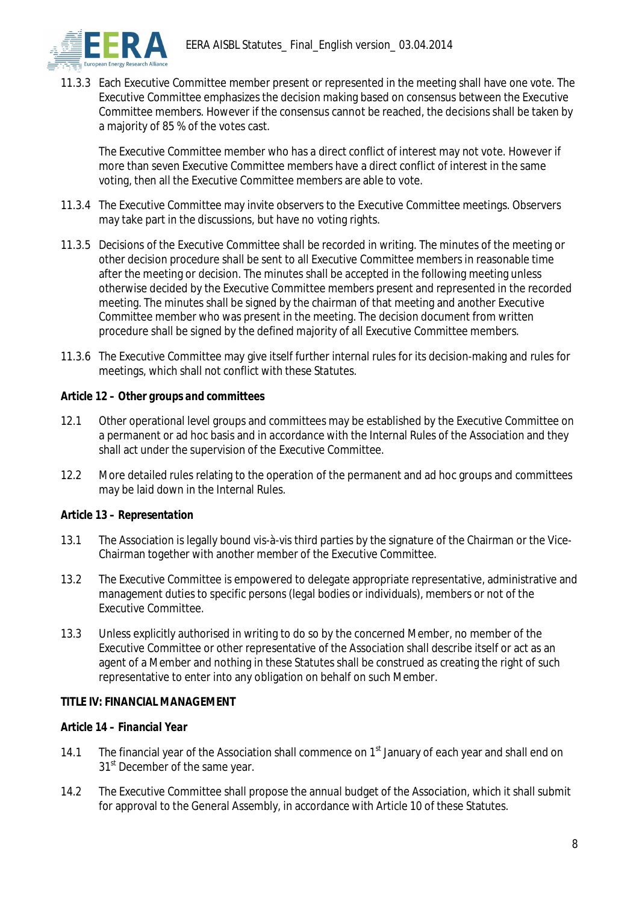

11.3.3 Each Executive Committee member present or represented in the meeting shall have one vote. The Executive Committee emphasizes the decision making based on consensus between the Executive Committee members. However if the consensus cannot be reached, the decisions shall be taken by a majority of 85 % of the votes cast.

The Executive Committee member who has a direct conflict of interest may not vote. However if more than seven Executive Committee members have a direct conflict of interest in the same voting, then all the Executive Committee members are able to vote.

- 11.3.4 The Executive Committee may invite observers to the Executive Committee meetings. Observers may take part in the discussions, but have no voting rights.
- 11.3.5 Decisions of the Executive Committee shall be recorded in writing. The minutes of the meeting or other decision procedure shall be sent to all Executive Committee members in reasonable time after the meeting or decision. The minutes shall be accepted in the following meeting unless otherwise decided by the Executive Committee members present and represented in the recorded meeting. The minutes shall be signed by the chairman of that meeting and another Executive Committee member who was present in the meeting. The decision document from written procedure shall be signed by the defined majority of all Executive Committee members.
- 11.3.6 The Executive Committee may give itself further internal rules for its decision-making and rules for meetings, which shall not conflict with these Statutes.

## *Article 12 – Other groups and committees*

- 12.1 Other operational level groups and committees may be established by the Executive Committee on a permanent or ad hoc basis and in accordance with the Internal Rules of the Association and they shall act under the supervision of the Executive Committee.
- 12.2 More detailed rules relating to the operation of the permanent and ad hoc groups and committees may be laid down in the Internal Rules.

# *Article 13 – Representation*

- 13.1 The Association is legally bound vis-à-vis third parties by the signature of the Chairman or the Vice-Chairman together with another member of the Executive Committee.
- 13.2 The Executive Committee is empowered to delegate appropriate representative, administrative and management duties to specific persons (legal bodies or individuals), members or not of the Executive Committee.
- 13.3 Unless explicitly authorised in writing to do so by the concerned Member, no member of the Executive Committee or other representative of the Association shall describe itself or act as an agent of a Member and nothing in these Statutes shall be construed as creating the right of such representative to enter into any obligation on behalf on such Member.

## **TITLE IV: FINANCIAL MANAGEMENT**

## *Article 14 – Financial Year*

- 14.1 The financial year of the Association shall commence on  $1<sup>st</sup>$  January of each year and shall end on 31<sup>st</sup> December of the same year.
- 14.2 The Executive Committee shall propose the annual budget of the Association, which it shall submit for approval to the General Assembly, in accordance with Article 10 of these Statutes.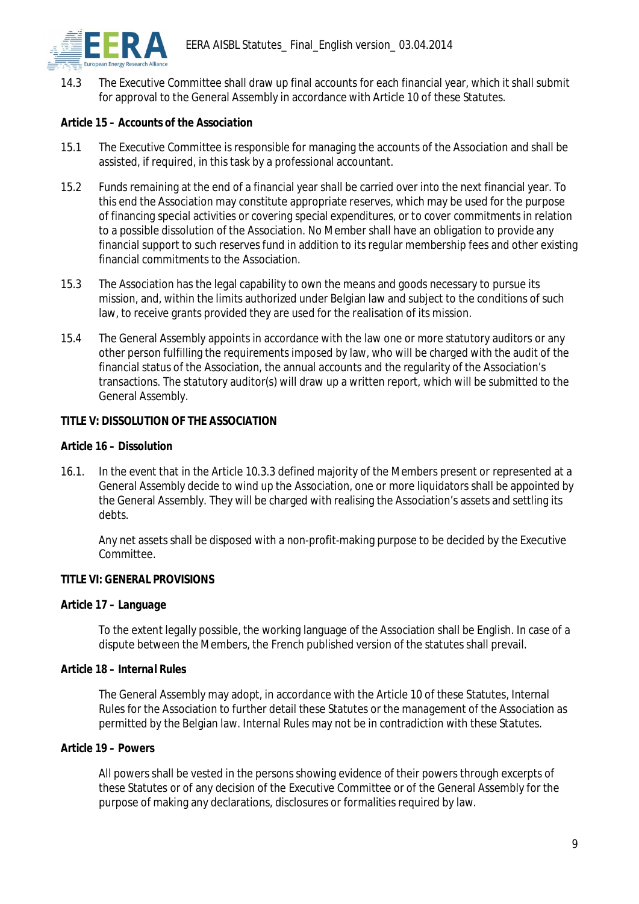

14.3 The Executive Committee shall draw up final accounts for each financial year, which it shall submit for approval to the General Assembly in accordance with Article 10 of these Statutes.

## *Article 15 – Accounts of the Association*

- 15.1 The Executive Committee is responsible for managing the accounts of the Association and shall be assisted, if required, in this task by a professional accountant.
- 15.2 Funds remaining at the end of a financial year shall be carried over into the next financial year. To this end the Association may constitute appropriate reserves, which may be used for the purpose of financing special activities or covering special expenditures, or to cover commitments in relation to a possible dissolution of the Association. No Member shall have an obligation to provide any financial support to such reserves fund in addition to its regular membership fees and other existing financial commitments to the Association.
- 15.3 The Association has the legal capability to own the means and goods necessary to pursue its mission, and, within the limits authorized under Belgian law and subject to the conditions of such law, to receive grants provided they are used for the realisation of its mission.
- 15.4 The General Assembly appoints in accordance with the law one or more statutory auditors or any other person fulfilling the requirements imposed by law, who will be charged with the audit of the financial status of the Association, the annual accounts and the regularity of the Association's transactions. The statutory auditor(s) will draw up a written report, which will be submitted to the General Assembly.

## **TITLE V: DISSOLUTION OF THE ASSOCIATION**

## *Article 16 – Dissolution*

16.1. In the event that in the Article 10.3.3 defined majority of the Members present or represented at a General Assembly decide to wind up the Association, one or more liquidators shall be appointed by the General Assembly. They will be charged with realising the Association's assets and settling its debts.

Any net assets shall be disposed with a non-profit-making purpose to be decided by the Executive Committee.

## **TITLE VI: GENERAL PROVISIONS**

*Article 17 – Language*

To the extent legally possible, the working language of the Association shall be English. In case of a dispute between the Members, the French published version of the statutes shall prevail.

## *Article 18 – Internal Rules*

The General Assembly may adopt, in accordance with the Article 10 of these Statutes, Internal Rules for the Association to further detail these Statutes or the management of the Association as permitted by the Belgian law. Internal Rules may not be in contradiction with these Statutes.

*Article 19 – Powers*

All powers shall be vested in the persons showing evidence of their powers through excerpts of these Statutes or of any decision of the Executive Committee or of the General Assembly for the purpose of making any declarations, disclosures or formalities required by law.